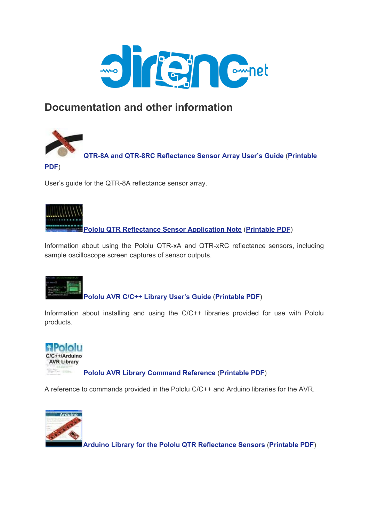

# **Documentation and other information**



**QTR-8A and QTR-8RC [Reflectance](https://www.pololu.com/docs/0J12) Sensor Array User's Guide** (**[Printable](https://www.pololu.com/docs/pdf/0J12/QTR-8x.pdf)**

### **[PDF](https://www.pololu.com/docs/pdf/0J12/QTR-8x.pdf)**)

User's guide for the QTR-8A reflectance sensor array.



**Pololu QTR [Reflectance](https://www.pololu.com/docs/0J13) Sensor Application Note** (**[Printable](https://www.pololu.com/docs/pdf/0J13/QTR_application_note.pdf) PDF**)

Information about using the Pololu QTR-xA and QTR-xRC reflectance sensors, including sample oscilloscope screen captures of sensor outputs.



**Pololu AVR C/C++ [Library](https://www.pololu.com/docs/0J20) User's Guide** (**[Printable](https://www.pololu.com/docs/pdf/0J20/pololu_avr_library.pdf) PDF**)

Information about installing and using the C/C++ libraries provided for use with Pololu products.



A reference to commands provided in the Pololu C/C++ and Arduino libraries for the AVR.



**Arduino Library for the Pololu QTR [Reflectance](https://www.pololu.com/docs/0J19) Sensors** (**[Printable](https://www.pololu.com/docs/pdf/0J19/QTR_arduino_library.pdf) PDF**)